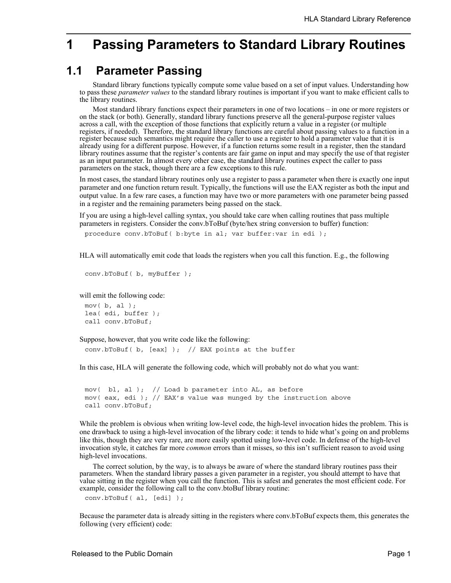# **1 Passing Parameters to Standard Library Routines**

## **1.1 Parameter Passing**

Standard library functions typically compute some value based on a set of input values. Understanding how to pass these *parameter values* to the standard library routines is important if you want to make efficient calls to the library routines.

Most standard library functions expect their parameters in one of two locations – in one or more registers or on the stack (or both). Generally, standard library functions preserve all the general-purpose register values across a call, with the exception of those functions that explicitly return a value in a register (or multiple registers, if needed). Therefore, the standard library functions are careful about passing values to a function in a register because such semantics might require the caller to use a register to hold a parameter value that it is already using for a different purpose. However, if a function returns some result in a register, then the standard library routines assume that the register's contents are fair game on input and may specify the use of that register as an input parameter. In almost every other case, the standard library routines expect the caller to pass parameters on the stack, though there are a few exceptions to this rule.

In most cases, the standard library routines only use a register to pass a parameter when there is exactly one input parameter and one function return result. Typically, the functions will use the EAX register as both the input and output value. In a few rare cases, a function may have two or more parameters with one parameter being passed in a register and the remaining parameters being passed on the stack.

If you are using a high-level calling syntax, you should take care when calling routines that pass multiple parameters in registers. Consider the conv.bToBuf (byte/hex string conversion to buffer) function:

procedure conv.bToBuf( b:byte in al; var buffer:var in edi );

HLA will automatically emit code that loads the registers when you call this function. E.g., the following

```
conv.bToBuf( b, myBuffer );
```
will emit the following code:

```
mov( b, al );
lea( edi, buffer );
call conv.bToBuf;
```
Suppose, however, that you write code like the following:

conv.bToBuf( b, [eax] ); // EAX points at the buffer

In this case, HLA will generate the following code, which will probably not do what you want:

mov( bl, al ); // Load b parameter into AL, as before mov( eax, edi ); // EAX's value was munged by the instruction above call conv.bToBuf;

While the problem is obvious when writing low-level code, the high-level invocation hides the problem. This is one drawback to using a high-level invocation of the library code: it tends to hide what's going on and problems like this, though they are very rare, are more easily spotted using low-level code. In defense of the high-level invocation style, it catches far more *common* errors than it misses, so this isn't sufficient reason to avoid using high-level invocations.

The correct solution, by the way, is to always be aware of where the standard library routines pass their parameters. When the standard library passes a given parameter in a register, you should attempt to have that value sitting in the register when you call the function. This is safest and generates the most efficient code. For example, consider the following call to the conv.btoBuf library routine:

```
conv.bToBuf( al, [edi] );
```
Because the parameter data is already sitting in the registers where conv.bToBuf expects them, this generates the following (very efficient) code: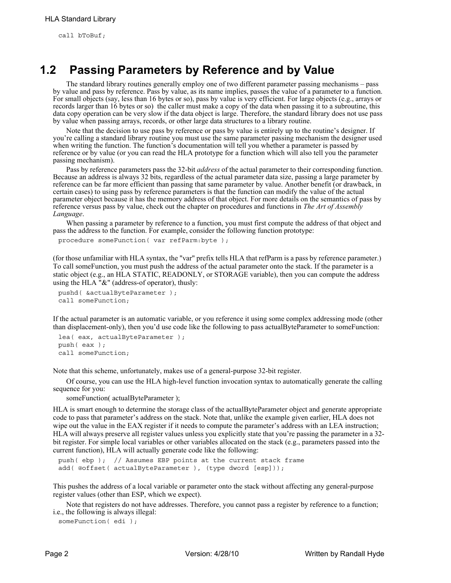call bToBuf;

# **1.2 Passing Parameters by Reference and by Value**

The standard library routines generally employ one of two different parameter passing mechanisms – pass by value and pass by reference. Pass by value, as its name implies, passes the value of a parameter to a function. For small objects (say, less than 16 bytes or so), pass by value is very efficient. For large objects (e.g., arrays or records larger than 16 bytes or so) the caller must make a copy of the data when passing it to a subroutine, this data copy operation can be very slow if the data object is large. Therefore, the standard library does not use pass by value when passing arrays, records, or other large data structures to a library routine.

Note that the decision to use pass by reference or pass by value is entirely up to the routine's designer. If you're calling a standard library routine you must use the same parameter passing mechanism the designer used when writing the function. The function's documentation will tell you whether a parameter is passed by reference or by value (or you can read the HLA prototype for a function which will also tell you the parameter passing mechanism).

Pass by reference parameters pass the 32-bit *address* of the actual parameter to their corresponding function. Because an address is always 32 bits, regardless of the actual parameter data size, passing a large parameter by reference can be far more efficient than passing that same parameter by value. Another benefit (or drawback, in certain cases) to using pass by reference parameters is that the function can modify the value of the actual parameter object because it has the memory address of that object. For more details on the semantics of pass by reference versus pass by value, check out the chapter on procedures and functions in *The Art of Assembly Language*.

When passing a parameter by reference to a function, you must first compute the address of that object and pass the address to the function. For example, consider the following function prototype:

procedure someFunction( var refParm:byte );

(for those unfamiliar with HLA syntax, the "var" prefix tells HLA that refParm is a pass by reference parameter.) To call someFunction, you must push the address of the actual parameter onto the stack. If the parameter is a static object (e.g., an HLA STATIC, READONLY, or STORAGE variable), then you can compute the address using the HLA "&" (address-of operator), thusly:

```
pushd( &actualByteParameter );
call someFunction;
```
If the actual parameter is an automatic variable, or you reference it using some complex addressing mode (other than displacement-only), then you'd use code like the following to pass actualByteParameter to someFunction:

lea( eax, actualByteParameter ); push( eax ); call someFunction;

Note that this scheme, unfortunately, makes use of a general-purpose 32-bit register.

Of course, you can use the HLA high-level function invocation syntax to automatically generate the calling sequence for you:

someFunction( actualByteParameter );

HLA is smart enough to determine the storage class of the actualByteParameter object and generate appropriate code to pass that parameter's address on the stack. Note that, unlike the example given earlier, HLA does not wipe out the value in the EAX register if it needs to compute the parameter's address with an LEA instruction; HLA will always preserve all register values unless you explicitly state that you're passing the parameter in a 32 bit register. For simple local variables or other variables allocated on the stack (e.g., parameters passed into the current function), HLA will actually generate code like the following:

push( ebp ); // Assumes EBP points at the current stack frame add( @offset( actualByteParameter ), (type dword [esp]));

This pushes the address of a local variable or parameter onto the stack without affecting any general-purpose register values (other than ESP, which we expect).

Note that registers do not have addresses. Therefore, you cannot pass a register by reference to a function; i.e., the following is always illegal:

someFunction( edi );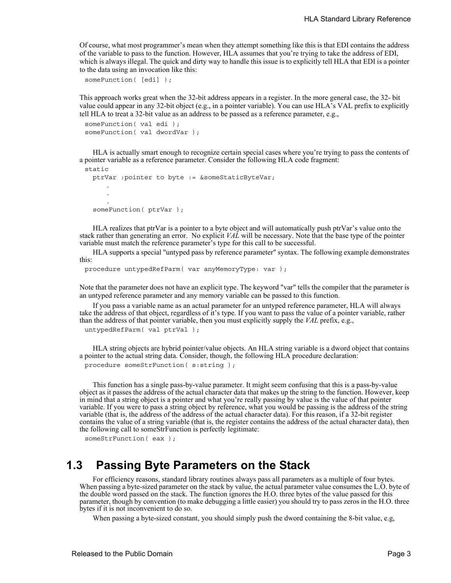Of course, what most programmer's mean when they attempt something like this is that EDI contains the address of the variable to pass to the function. However, HLA assumes that you're trying to take the address of EDI, which is always illegal. The quick and dirty way to handle this issue is to explicitly tell HLA that EDI is a pointer to the data using an invocation like this:

```
someFunction( [edi] );
```
This approach works great when the 32-bit address appears in a register. In the more general case, the 32- bit value could appear in any 32-bit object (e.g., in a pointer variable). You can use HLA's VAL prefix to explicitly tell HLA to treat a 32-bit value as an address to be passed as a reference parameter, e.g.,

```
someFunction( val edi );
someFunction( val dwordVar );
```
HLA is actually smart enough to recognize certain special cases where you're trying to pass the contents of a pointer variable as a reference parameter. Consider the following HLA code fragment:

```
static
 ptrVar :pointer to byte := &someStaticByteVar;
     .
     .
     .
  someFunction( ptrVar );
```
HLA realizes that ptrVar is a pointer to a byte object and will automatically push ptrVar's value onto the stack rather than generating an error. No explicit *VAL* will be necessary. Note that the base type of the pointer variable must match the reference parameter's type for this call to be successful.

HLA supports a special "untyped pass by reference parameter" syntax. The following example demonstrates this:

```
procedure untypedRefParm( var anyMemoryType: var );
```
Note that the parameter does not have an explicit type. The keyword "var" tells the compiler that the parameter is an untyped reference parameter and any memory variable can be passed to this function.

If you pass a variable name as an actual parameter for an untyped reference parameter, HLA will always take the address of that object, regardless of it's type. If you want to pass the value of a pointer variable, rather than the address of that pointer variable, then you must explicitly supply the *VAL* prefix, e.g., untypedRefParm( val ptrVal );

HLA string objects are hybrid pointer/value objects. An HLA string variable is a dword object that contains a pointer to the actual string data. Consider, though, the following HLA procedure declaration: procedure someStrFunction( s:string );

This function has a single pass-by-value parameter. It might seem confusing that this is a pass-by-value object as it passes the address of the actual character data that makes up the string to the function. However, keep in mind that a string object is a pointer and what you're really passing by value is the value of that pointer variable. If you were to pass a string object by reference, what you would be passing is the address of the string variable (that is, the address of the address of the actual character data). For this reason, if a 32-bit register contains the value of a string variable (that is, the register contains the address of the actual character data), then the following call to someStrFunction is perfectly legitimate:

```
someStrFunction(eax);
```
## **1.3 Passing Byte Parameters on the Stack**

For efficiency reasons, standard library routines always pass all parameters as a multiple of four bytes. When passing a byte-sized parameter on the stack by value, the actual parameter value consumes the L.O. byte of the double word passed on the stack. The function ignores the H.O. three bytes of the value passed for this parameter, though by convention (to make debugging a little easier) you should try to pass zeros in the H.O. three bytes if it is not inconvenient to do so.

When passing a byte-sized constant, you should simply push the dword containing the 8-bit value, e.g,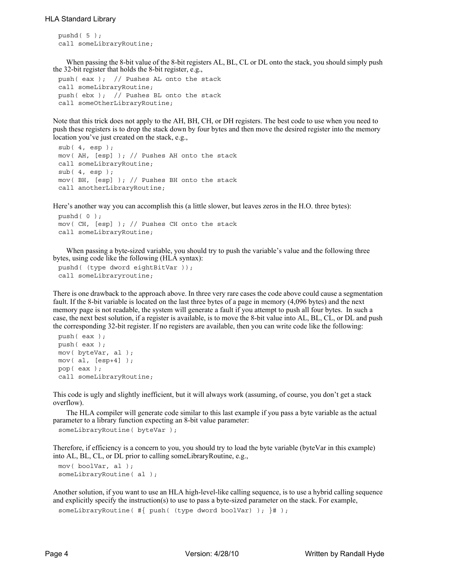```
pushd( 5 );
call someLibraryRoutine;
```
When passing the 8-bit value of the 8-bit registers AL, BL, CL or DL onto the stack, you should simply push the 32-bit register that holds the 8-bit register, e.g.,

```
push( eax ); // Pushes AL onto the stack
call someLibraryRoutine;
push( ebx ); // Pushes BL onto the stack
call someOtherLibraryRoutine;
```
Note that this trick does not apply to the AH, BH, CH, or DH registers. The best code to use when you need to push these registers is to drop the stack down by four bytes and then move the desired register into the memory location you've just created on the stack, e.g.,

```
sub(4, esp);mov( AH, [esp] ); // Pushes AH onto the stack
call someLibraryRoutine;
sub( 4, esp );
mov( BH, [esp] ); // Pushes BH onto the stack
call anotherLibraryRoutine;
```
Here's another way you can accomplish this (a little slower, but leaves zeros in the H.O. three bytes):

```
pushd( 0 );
mov( CH, [esp] ); // Pushes CH onto the stack
call someLibraryRoutine;
```
When passing a byte-sized variable, you should try to push the variable's value and the following three bytes, using code like the following (HLA syntax):

```
pushd( (type dword eightBitVar ));
call someLibraryroutine;
```
There is one drawback to the approach above. In three very rare cases the code above could cause a segmentation fault. If the 8-bit variable is located on the last three bytes of a page in memory (4,096 bytes) and the next memory page is not readable, the system will generate a fault if you attempt to push all four bytes. In such a case, the next best solution, if a register is available, is to move the 8-bit value into AL, BL, CL, or DL and push the corresponding 32-bit register. If no registers are available, then you can write code like the following:

```
push( eax );
push( eax );
mov( byteVar, al );
mov( al, [esp+4] );
pop( eax );
call someLibraryRoutine;
```
This code is ugly and slightly inefficient, but it will always work (assuming, of course, you don't get a stack overflow).

The HLA compiler will generate code similar to this last example if you pass a byte variable as the actual parameter to a library function expecting an 8-bit value parameter:

```
someLibraryRoutine( byteVar );
```
Therefore, if efficiency is a concern to you, you should try to load the byte variable (byteVar in this example) into AL, BL, CL, or DL prior to calling someLibraryRoutine, e.g.,

```
mov( boolVar, al );
someLibraryRoutine( al );
```
Another solution, if you want to use an HLA high-level-like calling sequence, is to use a hybrid calling sequence and explicitly specify the instruction(s) to use to pass a byte-sized parameter on the stack. For example,

```
someLibraryRoutine( #{ push( (type dword boolVar) ); }# );
```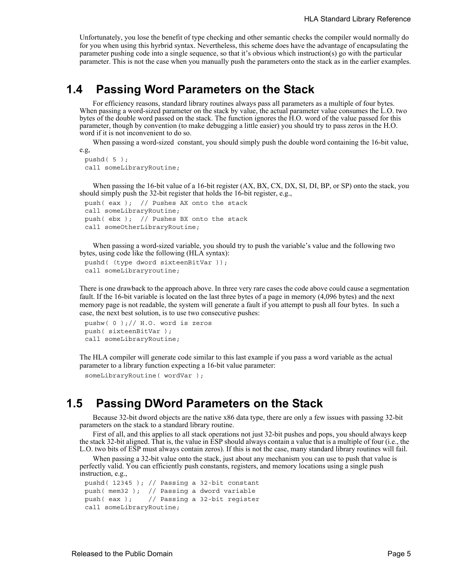Unfortunately, you lose the benefit of type checking and other semantic checks the compiler would normally do for you when using this hyrbrid syntax. Nevertheless, this scheme does have the advantage of encapsulating the parameter pushing code into a single sequence, so that it's obvious which instruction(s) go with the particular parameter. This is not the case when you manually push the parameters onto the stack as in the earlier examples.

### **1.4 Passing Word Parameters on the Stack**

For efficiency reasons, standard library routines always pass all parameters as a multiple of four bytes. When passing a word-sized parameter on the stack by value, the actual parameter value consumes the L.O. two bytes of the double word passed on the stack. The function ignores the H.O. word of the value passed for this parameter, though by convention (to make debugging a little easier) you should try to pass zeros in the H.O. word if it is not inconvenient to do so.

When passing a word-sized constant, you should simply push the double word containing the 16-bit value, e.g,

```
pushd( 5 );
call someLibraryRoutine;
```
When passing the 16-bit value of a 16-bit register (AX, BX, CX, DX, SI, DI, BP, or SP) onto the stack, you should simply push the 32-bit register that holds the 16-bit register, e.g.,

```
push( eax ); // Pushes AX onto the stack
call someLibraryRoutine;
push( ebx ); // Pushes BX onto the stack
call someOtherLibraryRoutine;
```
When passing a word-sized variable, you should try to push the variable's value and the following two bytes, using code like the following (HLA syntax):

```
pushd( (type dword sixteenBitVar ));
call someLibraryroutine;
```
There is one drawback to the approach above. In three very rare cases the code above could cause a segmentation fault. If the 16-bit variable is located on the last three bytes of a page in memory (4,096 bytes) and the next memory page is not readable, the system will generate a fault if you attempt to push all four bytes. In such a case, the next best solution, is to use two consecutive pushes:

```
pushw( 0 );// H.O. word is zeros
push( sixteenBitVar );
call someLibraryRoutine;
```
The HLA compiler will generate code similar to this last example if you pass a word variable as the actual parameter to a library function expecting a 16-bit value parameter:

```
someLibraryRoutine( wordVar );
```
## **1.5 Passing DWord Parameters on the Stack**

Because 32-bit dword objects are the native x86 data type, there are only a few issues with passing 32-bit parameters on the stack to a standard library routine.

First of all, and this applies to all stack operations not just 32-bit pushes and pops, you should always keep the stack 32-bit aligned. That is, the value in ESP should always contain a value that is a multiple of four (i.e., the L.O. two bits of ESP must always contain zeros). If this is not the case, many standard library routines will fail.

When passing a 32-bit value onto the stack, just about any mechanism you can use to push that value is perfectly valid. You can efficiently push constants, registers, and memory locations using a single push instruction, e.g.,

```
pushd( 12345 ); // Passing a 32-bit constant
push( mem32 ); // Passing a dword variable
push( eax ); // Passing a 32-bit register
call someLibraryRoutine;
```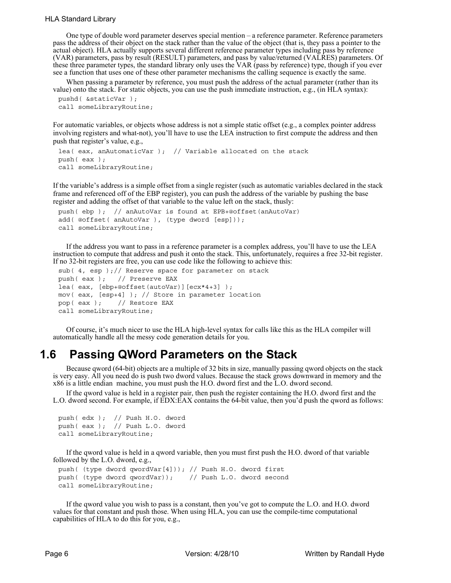#### HLA Standard Library

One type of double word parameter deserves special mention – a reference parameter. Reference parameters pass the address of their object on the stack rather than the value of the object (that is, they pass a pointer to the actual object). HLA actually supports several different reference parameter types including pass by reference (VAR) parameters, pass by result (RESULT) parameters, and pass by value/returned (VALRES) parameters. Of these three parameter types, the standard library only uses the VAR (pass by reference) type, though if you ever see a function that uses one of these other parameter mechanisms the calling sequence is exactly the same.

When passing a parameter by reference, you must push the address of the actual parameter (rather than its value) onto the stack. For static objects, you can use the push immediate instruction, e.g., (in HLA syntax):

```
pushd( &staticVar );
call someLibraryRoutine;
```
For automatic variables, or objects whose address is not a simple static offset (e.g., a complex pointer address involving registers and what-not), you'll have to use the LEA instruction to first compute the address and then push that register's value, e.g.,

```
lea( eax, anAutomaticVar ); // Variable allocated on the stack
push( eax );
call someLibraryRoutine;
```
If the variable's address is a simple offset from a single register (such as automatic variables declared in the stack frame and referenced off of the EBP register), you can push the address of the variable by pushing the base register and adding the offset of that variable to the value left on the stack, thusly:

```
push( ebp ); // anAutoVar is found at EPB+@offset(anAutoVar)
add( @offset( anAutoVar ), (type dword [esp]));
call someLibraryRoutine;
```
If the address you want to pass in a reference parameter is a complex address, you'll have to use the LEA instruction to compute that address and push it onto the stack. This, unfortunately, requires a free 32-bit register. If no 32-bit registers are free, you can use code like the following to achieve this:

```
sub( 4, esp );// Reserve space for parameter on stack
push( eax ); // Preserve EAX
lea( eax, [ebp+@offset(autoVar)][ecx*4+3] );
mov( eax, [esp+4] ); // Store in parameter location
pop( eax ); // Restore EAX
call someLibraryRoutine;
```
Of course, it's much nicer to use the HLA high-level syntax for calls like this as the HLA compiler will automatically handle all the messy code generation details for you.

### **1.6 Passing QWord Parameters on the Stack**

Because qword (64-bit) objects are a multiple of 32 bits in size, manually passing qword objects on the stack is very easy. All you need do is push two dword values. Because the stack grows downward in memory and the x86 is a little endian machine, you must push the H.O. dword first and the L.O. dword second.

If the qword value is held in a register pair, then push the register containing the H.O. dword first and the L.O. dword second. For example, if EDX:EAX contains the 64-bit value, then you'd push the qword as follows:

```
push( edx ); // Push H.O. dword
push( eax ); // Push L.O. dword
call someLibraryRoutine;
```
If the qword value is held in a qword variable, then you must first push the H.O. dword of that variable followed by the L.O. dword, e.g.,

```
push( (type dword qwordVar[4])); // Push H.O. dword first
push( (type dword qwordVar)); // Push L.O. dword second
call someLibraryRoutine;
```
If the qword value you wish to pass is a constant, then you've got to compute the L.O. and H.O. dword values for that constant and push those. When using HLA, you can use the compile-time computational capabilities of HLA to do this for you, e.g.,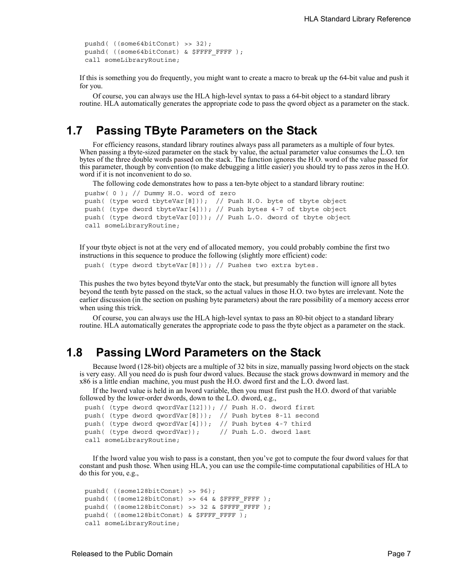```
pushd( ((some64bitConst) >> 32);
pushd( ((some64bitConst) & $FFFF FFFF );
call someLibraryRoutine;
```
If this is something you do frequently, you might want to create a macro to break up the 64-bit value and push it for you.

Of course, you can always use the HLA high-level syntax to pass a 64-bit object to a standard library routine. HLA automatically generates the appropriate code to pass the qword object as a parameter on the stack.

## **1.7 Passing TByte Parameters on the Stack**

For efficiency reasons, standard library routines always pass all parameters as a multiple of four bytes. When passing a tbyte-sized parameter on the stack by value, the actual parameter value consumes the L.O. ten bytes of the three double words passed on the stack. The function ignores the H.O. word of the value passed for this parameter, though by convention (to make debugging a little easier) you should try to pass zeros in the H.O. word if it is not inconvenient to do so.

The following code demonstrates how to pass a ten-byte object to a standard library routine:

```
pushw( 0 ); // Dummy H.O. word of zero
push( (type word tbyteVar[8])); // Push H.O. byte of tbyte object
push( (type dword tbyteVar[4])); // Push bytes 4-7 of tbyte object
push( (type dword tbyteVar[0])); // Push L.O. dword of tbyte object
call someLibraryRoutine;
```
If your tbyte object is not at the very end of allocated memory, you could probably combine the first two instructions in this sequence to produce the following (slightly more efficient) code:

push( (type dword tbyteVar[8])); // Pushes two extra bytes.

This pushes the two bytes beyond tbyteVar onto the stack, but presumably the function will ignore all bytes beyond the tenth byte passed on the stack, so the actual values in those H.O. two bytes are irrelevant. Note the earlier discussion (in the section on pushing byte parameters) about the rare possibility of a memory access error when using this trick.

Of course, you can always use the HLA high-level syntax to pass an 80-bit object to a standard library routine. HLA automatically generates the appropriate code to pass the tbyte object as a parameter on the stack.

### **1.8 Passing LWord Parameters on the Stack**

Because lword (128-bit) objects are a multiple of 32 bits in size, manually passing lword objects on the stack is very easy. All you need do is push four dword values. Because the stack grows downward in memory and the x86 is a little endian machine, you must push the H.O. dword first and the L.O. dword last.

If the lword value is held in an lword variable, then you must first push the H.O. dword of that variable followed by the lower-order dwords, down to the L.O. dword, e.g.,

```
push( (type dword qwordVar[12])); // Push H.O. dword first
push( (type dword qwordVar[8])); // Push bytes 8-11 second
push( (type dword qwordVar[4])); // Push bytes 4-7 third
push( (type dword qwordVar)); // Push L.O. dword last
call someLibraryRoutine;
```
If the lword value you wish to pass is a constant, then you've got to compute the four dword values for that constant and push those. When using HLA, you can use the compile-time computational capabilities of HLA to do this for you, e.g.,

```
pushd( ((some128bitConst) >> 96);
pushd( ((some128bitConst) >> 64 & $FFFF FFFF );
pushd( ((some128bitConst) >> 32 & $FFFF FFFF );
pushd( ((some128bitConst) & $FFFF_FFFF );
call someLibraryRoutine;
```